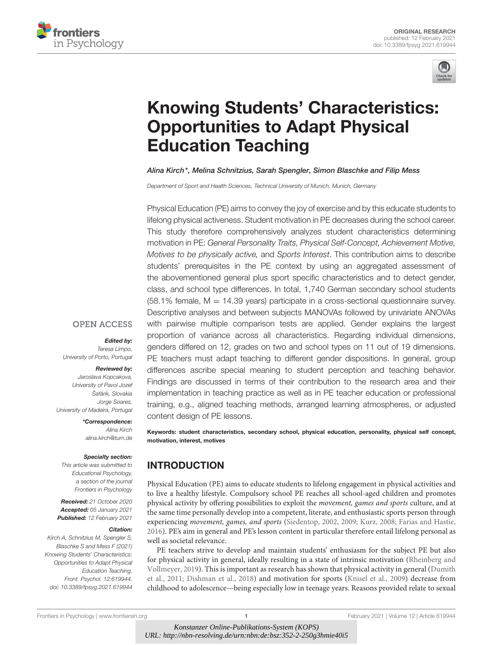



# [Knowing Students' Characteristics:](https://www.frontiersin.org/articles/10.3389/fpsyg.2021.619944/full) Opportunities to Adapt Physical Education Teaching

#### Alina Kirch\*, Melina Schnitzius, Sarah Spengler, Simon Blaschke and Filip Mess

Department of Sport and Health Sciences, Technical University of Munich, Munich, Germany

Physical Education (PE) aims to convey the joy of exercise and by this educate students to lifelong physical activeness. Student motivation in PE decreases during the school career. This study therefore comprehensively analyzes student characteristics determining motivation in PE: General Personality Traits, Physical Self-Concept, Achievement Motive, Motives to be physically active, and Sports Interest. This contribution aims to describe students' prerequisites in the PE context by using an aggregated assessment of the abovementioned general plus sport specific characteristics and to detect gender, class, and school type differences. In total, 1,740 German secondary school students  $(58.1\%$  female, M = 14.39 years) participate in a cross-sectional questionnaire survey. Descriptive analyses and between subjects MANOVAs followed by univariate ANOVAs with pairwise multiple comparison tests are applied. Gender explains the largest proportion of variance across all characteristics. Regarding individual dimensions, genders differed on 12, grades on two and school types on 11 out of 19 dimensions. PE teachers must adapt teaching to different gender dispositions. In general, group differences ascribe special meaning to student perception and teaching behavior. Findings are discussed in terms of their contribution to the research area and their implementation in teaching practice as well as in PE teacher education or professional training, e.g., aligned teaching methods, arranged learning atmospheres, or adjusted content design of PE lessons.

Keywords: student characteristics, secondary school, physical education, personality, physical self concept, motivation, interest, motives

# INTRODUCTION

Physical Education (PE) aims to educate students to lifelong engagement in physical activities and to live a healthy lifestyle. Compulsory school PE reaches all school-aged children and promotes physical activity by offering possibilities to exploit the movement, games and sports culture, and at the same time personally develop into a competent, literate, and enthusiastic sports person through experiencing movement, games, and sports [\(Siedentop, 2002,](#page-10-0) [2009;](#page-10-1) [Kurz, 2008;](#page-10-2) [Farias and Hastie,](#page-9-0) [2016\)](#page-9-0). PE's aim in general and PE's lesson content in particular therefore entail lifelong personal as well as societal relevance.

PE teachers strive to develop and maintain students' enthusiasm for the subject PE but also for physical activity in general, ideally resulting in a state of intrinsic motivation (Rheinberg and Vollmeyer, [2019\)](#page-10-3). This is important as research has shown that physical activity in general (Dumith et al., [2011;](#page-9-1) [Dishman et al., 2018\)](#page-9-2) and motivation for sports [\(Knisel et al., 2009\)](#page-10-4) decrease from childhood to adolescence—being especially low in teenage years. Reasons provided relate to sexual

**OPEN ACCESS** 

Edited by:

Teresa Limpo, University of Porto, Portugal

#### Reviewed by:

Jaroslava Kopcakova, University of Pavol Jozef Šafárik, Slovakia Jorge Soares, University of Madeira, Portugal

> \*Correspondence: Alina Kirch [alina.kirch@tum.de](mailto:alina.kirch@tum.de)

#### Specialty section:

This article was submitted to Educational Psychology, a section of the journal Frontiers in Psychology

Received: 21 October 2020 Accepted: 05 January 2021 Published: 12 February 2021

#### Citation:

Kirch A, Schnitzius M, Spengler S, Blaschke S and Mess F (2021) Knowing Students' Characteristics: Opportunities to Adapt Physical Education Teaching. Front. Psychol. 12:619944. doi: [10.3389/fpsyg.2021.619944](https://doi.org/10.3389/fpsyg.2021.619944)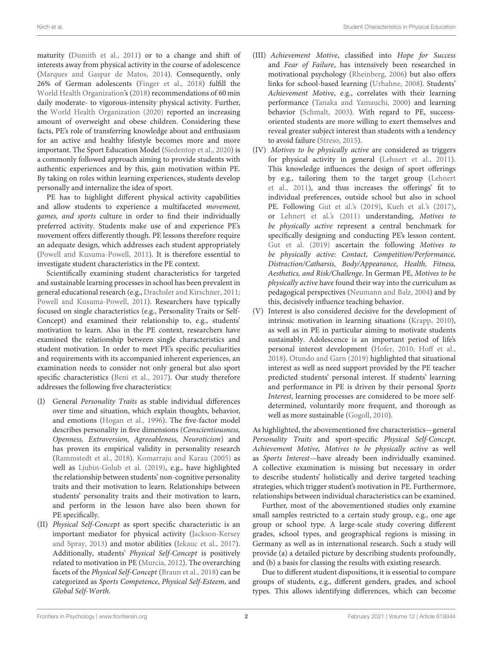maturity [\(Dumith et al., 2011\)](#page-9-1) or to a change and shift of interests away from physical activity in the course of adolescence [\(Marques and Gaspar de Matos, 2014\)](#page-10-5). Consequently, only 26% of German adolescents [\(Finger et al., 2018\)](#page-9-3) fulfill the [World Health Organization'](#page-11-0)s [\(2018\)](#page-11-0) recommendations of 60 min daily moderate- to vigorous-intensity physical activity. Further, the [World Health Organization \(2020\)](#page-11-1) reported an increasing amount of overweight and obese children. Considering these facts, PE's role of transferring knowledge about and enthusiasm for an active and healthy lifestyle becomes more and more important. The Sport Education Model [\(Siedentop et al., 2020\)](#page-11-2) is a commonly followed approach aiming to provide students with authentic experiences and by this, gain motivation within PE. By taking on roles within learning experiences, students develop personally and internalize the idea of sport.

PE has to highlight different physical activity capabilities and allow students to experience a multifaceted movement, games, and sports culture in order to find their individually preferred activity. Students make use of and experience PE's movement offers differently though. PE lessons therefore require an adequate design, which addresses each student appropriately [\(Powell and Kusuma-Powell, 2011\)](#page-10-6). It is therefore essential to investigate student characteristics in the PE context.

Scientifically examining student characteristics for targeted and sustainable learning processes in school has been prevalent in general educational research (e.g., [Drachsler and Kirschner, 2011;](#page-9-4) [Powell and Kusuma-Powell, 2011\)](#page-10-6). Researchers have typically focused on single characteristics (e.g., Personality Traits or Self-Concept) and examined their relationship to, e.g., students' motivation to learn. Also in the PE context, researchers have examined the relationship between single characteristics and student motivation. In order to meet PE's specific peculiarities and requirements with its accompanied inherent experiences, an examination needs to consider not only general but also sport specific characteristics [\(Beni et al., 2017\)](#page-9-5). Our study therefore addresses the following five characteristics:

- (I) General Personality Traits as stable individual differences over time and situation, which explain thoughts, behavior, and emotions [\(Hogan et al., 1996\)](#page-10-7). The five-factor model describes personality in five dimensions (Conscientiousness, Openness, Extraversion, Agreeableness, Neuroticism) and has proven its empirical validity in personality research [\(Rammstedt et al., 2018\)](#page-10-8). [Komarraju and Karau \(2005\)](#page-10-9) as well as [Ljubin-Golub et al. \(2019\)](#page-10-10), e.g., have highlighted the relationship between students' non-cognitive personality traits and their motivation to learn. Relationships between students' personality traits and their motivation to learn, and perform in the lesson have also been shown for PE specifically.
- (II) Physical Self-Concept as sport specific characteristic is an important mediator for physical activity (Jackson-Kersey and Spray, [2013\)](#page-10-11) and motor abilities [\(Jekauc et al., 2017\)](#page-10-12). Additionally, students' Physical Self-Concept is positively related to motivation in PE [\(Murcia, 2012\)](#page-10-13). The overarching facets of the Physical Self-Concept [\(Braun et al., 2018\)](#page-9-6) can be categorized as Sports Competence, Physical Self-Esteem, and Global Self-Worth.
- (III) Achievement Motive, classified into Hope for Success and Fear of Failure, has intensively been researched in motivational psychology [\(Rheinberg, 2006\)](#page-10-14) but also offers links for school-based learning [\(Urhahne, 2008\)](#page-11-3). Students' Achievement Motive, e.g., correlates with their learning performance [\(Tanaka and Yamauchi, 2000\)](#page-11-4) and learning behavior [\(Schmalt, 2003\)](#page-10-15). With regard to PE, successoriented students are more willing to exert themselves and reveal greater subject interest than students with a tendency to avoid failure [\(Streso, 2015\)](#page-11-5).
- (IV) Motives to be physically active are considered as triggers for physical activity in general [\(Lehnert et al., 2011\)](#page-10-16). This knowledge influences the design of sport offerings by e.g., tailoring them to the target group (Lehnert et al., [2011\)](#page-10-16), and thus increases the offerings' fit to individual preferences, outside school but also in school PE. Following [Gut et al.'s \(2019\)](#page-9-7), [Kueh et al.'s \(2017\)](#page-10-17), or [Lehnert et al.'s \(2011\)](#page-10-16) understanding, Motives to be physically active represent a central benchmark for specifically designing and conducting PE's lesson content. [Gut et al. \(2019\)](#page-9-7) ascertain the following Motives to be physically active: Contact, Competition/Performance, Distraction/Catharsis, Body/Appearance, Health, Fitness, Aesthetics, and Risk/Challenge. In German PE, Motives to be physically active have found their way into the curriculum as pedagogical perspectives [\(Neumann and Balz, 2004\)](#page-10-18) and by this, decisively influence teaching behavior.
- (V) Interest is also considered decisive for the development of intrinsic motivation in learning situations [\(Krapp, 2010\)](#page-10-19), as well as in PE in particular aiming to motivate students sustainably. Adolescence is an important period of life's personal interest development [\(Hofer, 2010;](#page-9-8) [Hoff et al.,](#page-9-9) [2018\)](#page-9-9). [Otundo and Garn \(2019\)](#page-10-20) highlighted that situational interest as well as need support provided by the PE teacher predicted students' personal interest. If students' learning and performance in PE is driven by their personal Sports Interest, learning processes are considered to be more selfdetermined, voluntarily more frequent, and thorough as well as more sustainable [\(Gogoll, 2010\)](#page-9-10).

As highlighted, the abovementioned five characteristics—general Personality Traits and sport-specific Physical Self-Concept, Achievement Motive, Motives to be physically active as well as Sports Interest—have already been individually examined. A collective examination is missing but necessary in order to describe students' holistically and derive targeted teaching strategies, which trigger student's motivation in PE. Furthermore, relationships between individual characteristics can be examined.

Further, most of the abovementioned studies only examine small samples restricted to a certain study group, e.g., one age group or school type. A large-scale study covering different grades, school types, and geographical regions is missing in Germany as well as in international research. Such a study will provide (a) a detailed picture by describing students profoundly, and (b) a basis for classing the results with existing research.

Due to different student dispositions, it is essential to compare groups of students, e.g., different genders, grades, and school types. This allows identifying differences, which can become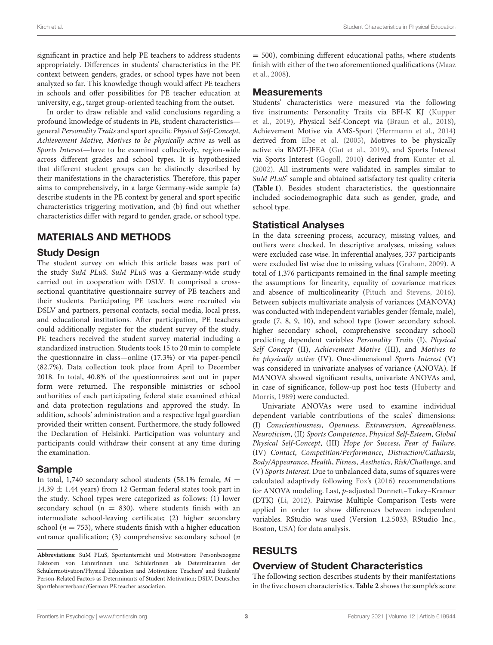significant in practice and help PE teachers to address students appropriately. Differences in students' characteristics in the PE context between genders, grades, or school types have not been analyzed so far. This knowledge though would affect PE teachers in schools and offer possibilities for PE teacher education at university, e.g., target group-oriented teaching from the outset.

In order to draw reliable and valid conclusions regarding a profound knowledge of students in PE, student characteristics general Personality Traits and sport specific Physical Self-Concept, Achievement Motive, Motives to be physically active as well as Sports Interest—have to be examined collectively, region-wide across different grades and school types. It is hypothesized that different student groups can be distinctly described by their manifestations in the characteristics. Therefore, this paper aims to comprehensively, in a large Germany-wide sample (a) describe students in the PE context by general and sport specific characteristics triggering motivation, and (b) find out whether characteristics differ with regard to gender, grade, or school type.

# MATERIALS AND METHODS

## Study Design

The student survey on which this article bases was part of the study SuM PLuS. SuM PLuS was a Germany-wide study carried out in cooperation with DSLV. It comprised a crosssectional quantitative questionnaire survey of PE teachers and their students. Participating PE teachers were recruited via DSLV and partners, personal contacts, social media, local press, and educational institutions. After participation, PE teachers could additionally register for the student survey of the study. PE teachers received the student survey material including a standardized instruction. Students took 15 to 20 min to complete the questionnaire in class—online (17.3%) or via paper-pencil (82.7%). Data collection took place from April to December 2018. In total, 40.8% of the questionnaires sent out in paper form were returned. The responsible ministries or school authorities of each participating federal state examined ethical and data protection regulations and approved the study. In addition, schools' administration and a respective legal guardian provided their written consent. Furthermore, the study followed the Declaration of Helsinki. Participation was voluntary and participants could withdraw their consent at any time during the examination.

## Sample

In total, 1,740 secondary school students (58.1% female,  $M =$ 14.39  $\pm$  1.44 years) from 12 German federal states took part in the study. School types were categorized as follows: (1) lower secondary school ( $n = 830$ ), where students finish with an intermediate school-leaving certificate; (2) higher secondary school ( $n = 753$ ), where students finish with a higher education entrance qualification; (3) comprehensive secondary school (n  $= 500$ ), combining different educational paths, where students finish with either of the two aforementioned qualifications (Maaz et al., [2008\)](#page-10-21).

## **Measurements**

Students' characteristics were measured via the following five instruments: Personality Traits via BFI-K KJ (Kupper et al., [2019\)](#page-10-22), Physical Self-Concept via [\(Braun et al., 2018\)](#page-9-6), Achievement Motive via AMS-Sport [\(Herrmann et al., 2014\)](#page-9-11) derived from [Elbe et al. \(2005\)](#page-9-12), Motives to be physically active via BMZI-JFEA [\(Gut et al., 2019\)](#page-9-7), and Sports Interest via Sports Interest [\(Gogoll, 2010\)](#page-9-10) derived from [Kunter et al.](#page-10-23) [\(2002\)](#page-10-23). All instruments were validated in samples similar to SuM PLuS' sample and obtained satisfactory test quality criteria (**[Table 1](#page-3-0)**). Besides student characteristics, the questionnaire included sociodemographic data such as gender, grade, and school type.

## Statistical Analyses

In the data screening process, accuracy, missing values, and outliers were checked. In descriptive analyses, missing values were excluded case wise. In inferential analyses, 337 participants were excluded list wise due to missing values [\(Graham, 2009\)](#page-9-13). A total of 1,376 participants remained in the final sample meeting the assumptions for linearity, equality of covariance matrices and absence of multicolinearity [\(Pituch and Stevens, 2016\)](#page-10-24). Between subjects multivariate analysis of variances (MANOVA) was conducted with independent variables gender (female, male), grade (7, 8, 9, 10), and school type (lower secondary school, higher secondary school, comprehensive secondary school) predicting dependent variables Personality Traits (I), Physical Self Concept (II), Achievement Motive (III), and Motives to be physically active (IV). One-dimensional Sports Interest (V) was considered in univariate analyses of variance (ANOVA). If MANOVA showed significant results, univariate ANOVAs and, in case of significance, follow-up post hoc tests (Huberty and Morris, [1989\)](#page-10-25) were conducted.

Univariate ANOVAs were used to examine individual dependent variable contributions of the scales' dimensions: (I) Conscientiousness, Openness, Extraversion, Agreeableness, Neuroticism, (II) Sports Competence, Physical Self-Esteem, Global Physical Self-Concept, (III) Hope for Success, Fear of Failure, (IV) Contact, Competition/Performance, Distraction/Catharsis, Body/Appearance, Health, Fitness, Aesthetics, Risk/Challenge, and (V) Sports Interest. Due to unbalanced data, sums of squares were calculated adaptively following [Fox'](#page-9-14)s [\(2016\)](#page-9-14) recommendations for ANOVA modeling. Last, p-adjusted Dunnett–Tukey–Kramer (DTK) [\(Li, 2012\)](#page-10-26). Pairwise Multiple Comparison Tests were applied in order to show differences between independent variables. RStudio was used (Version 1.2.5033, RStudio Inc., Boston, USA) for data analysis.

# RESULTS

## Overview of Student Characteristics

The following section describes students by their manifestations in the five chosen characteristics. **[Table 2](#page-4-0)** shows the sample's score

**Abbreviations:** SuM PLuS, Sportunterricht und Motivation: Personbezogene Faktoren von LehrerInnen und SchülerInnen als Determinanten der Schülermotivation/Physical Education and Motivation: Teachers' and Students' Person-Related Factors as Determinants of Student Motivation; DSLV, Deutscher Sportlehrerverband/German PE teacher association.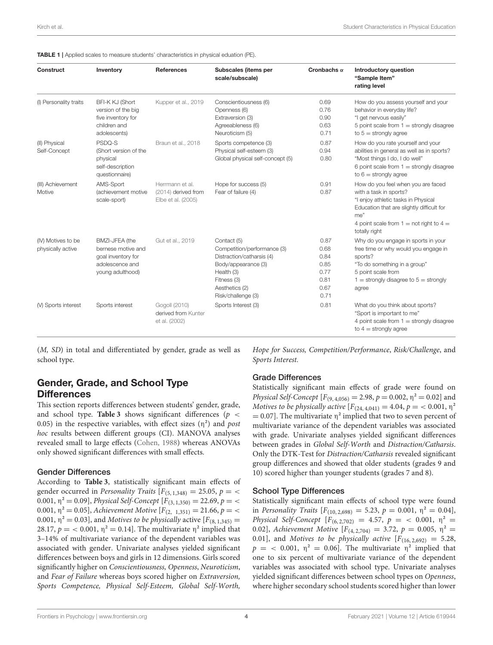<span id="page-3-0"></span>

|  |  | <b>TABLE 1</b>   Applied scales to measure students' characteristics in physical eduation (PE). |  |
|--|--|-------------------------------------------------------------------------------------------------|--|
|  |  |                                                                                                 |  |

| Construct                               | Inventory                                                                                         | <b>References</b>                                            | Subscales (items per<br>scale/subscale)                                                                                                                             | Cronbachs $\alpha$                                           | <b>Introductory question</b><br>"Sample Item"<br>rating level                                                                                                                                                                 |
|-----------------------------------------|---------------------------------------------------------------------------------------------------|--------------------------------------------------------------|---------------------------------------------------------------------------------------------------------------------------------------------------------------------|--------------------------------------------------------------|-------------------------------------------------------------------------------------------------------------------------------------------------------------------------------------------------------------------------------|
| (I) Personality traits                  | BFI-K KJ (Short<br>version of the big<br>five inventory for<br>children and<br>adolescents)       | Kupper et al., 2019                                          | Conscientiousness (6)<br>Openness (6)<br>Extraversion (3)<br>Agreeableness (6)<br>Neuroticism (5)                                                                   | 0.69<br>0.76<br>0.90<br>0.63<br>0.71                         | How do you assess yourself and your<br>behavior in everyday life?<br>"I get nervous easily"<br>5 point scale from $1 =$ strongly disagree<br>to $5 =$ strongly agree                                                          |
| (II) Physical<br>Self-Concept           | PSDQ-S<br>(Short version of the<br>physical<br>self-description<br>questionnaire)                 | Braun et al., 2018                                           | Sports competence (3)<br>Physical self-esteem (3)<br>Global physical self-concept (5)                                                                               | 0.87<br>0.94<br>0.80                                         | How do you rate yourself and your<br>abilities in general as well as in sports?<br>"Most things I do, I do well"<br>6 point scale from $1 =$ strongly disagree<br>to $6 =$ strongly agree                                     |
| (III) Achievement<br>Motive             | AMS-Sport<br>(achievement motive<br>scale-sport)                                                  | Herrmann et al.<br>(2014) derived from<br>Elbe et al. (2005) | Hope for success (5)<br>Fear of failure (4)                                                                                                                         | 0.91<br>0.87                                                 | How do you feel when you are faced<br>with a task in sports?<br>"I enjoy athletic tasks in Physical<br>Education that are slightly difficult for<br>me"<br>4 point scale from $1 = \text{not right to } 4 =$<br>totally right |
| (IV) Motives to be<br>physically active | BMZI-JFEA (the<br>bernese motive and<br>goal inventory for<br>adolescence and<br>young adulthood) | Gut et al., 2019                                             | Contact (5)<br>Competition/performance (3)<br>Distraction/catharsis (4)<br>Body/appearance (3)<br>Health (3)<br>Fitness (3)<br>Aesthetics (2)<br>Risk/challenge (3) | 0.87<br>0.68<br>0.84<br>0.85<br>0.77<br>0.81<br>0.67<br>0.71 | Why do you engage in sports in your<br>free time or why would you engage in<br>sports?<br>"To do something in a group"<br>5 point scale from<br>$1 =$ strongly disagree to $5 =$ strongly<br>agree                            |
| (V) Sports interest                     | Sports interest                                                                                   | Gogoll (2010)<br>derived from Kunter<br>et al. (2002)        | Sports Interest (3)                                                                                                                                                 | 0.81                                                         | What do you think about sports?<br>"Sport is important to me"<br>4 point scale from $1 =$ strongly disagree<br>to $4 =$ strongly agree                                                                                        |

(M, SD) in total and differentiated by gender, grade as well as school type.

Gender, Grade, and School Type **Differences** 

This section reports differences between students' gender, grade, and school type. **[Table 3](#page-5-0)** shows significant differences ( $p \lt$ 0.05) in the respective variables, with effect sizes  $(\eta^2)$  and post hoc results between different groups (CI). MANOVA analyses revealed small to large effects [\(Cohen, 1988\)](#page-9-15) whereas ANOVAs only showed significant differences with small effects.

#### Gender Differences

According to **[Table 3](#page-5-0)**, statistically significant main effects of gender occurred in *Personality Traits*  $[F_{(5, 1, 348)} = 25.05, p = \langle$ 0.001,  $\eta^2 = 0.09$ ], Physical Self-Concept [ $F_{(3, 1, 350)} = 22.69$ ,  $p = \langle$ 0.001,  $\eta^2 = 0.05$ , Achievement Motive  $[F_{(2, 1,351)} = 21.66, p = \langle$ 0.001,  $\eta^2 = 0.03$ ], and *Motives to be physically* active [ $F_{(8, 1, 345)} =$ 28.17,  $p = 0.001$ ,  $\eta^2 = 0.14$ ]. The multivariate  $\eta^2$  implied that 3–14% of multivariate variance of the dependent variables was associated with gender. Univariate analyses yielded significant differences between boys and girls in 12 dimensions. Girls scored significantly higher on Conscientiousness, Openness, Neuroticism, and Fear of Failure whereas boys scored higher on Extraversion, Sports Competence, Physical Self-Esteem, Global Self-Worth,

Hope for Success, Competition/Performance, Risk/Challenge, and Sports Interest.

#### Grade Differences

Statistically significant main effects of grade were found on *Physical Self-Concept*  $[F_{(9, 4, 056)} = 2.98, p = 0.002, \eta^2 = 0.02]$  and Motives to be physically active  $[F_{(24, 4, 041)} = 4.04, p = 0.001, \eta^2]$  $= 0.07$ ]. The multivariate  $\eta^2$  implied that two to seven percent of multivariate variance of the dependent variables was associated with grade. Univariate analyses yielded significant differences between grades in Global Self-Worth and Distraction/Catharsis. Only the DTK-Test for Distraction/Catharsis revealed significant group differences and showed that older students (grades 9 and 10) scored higher than younger students (grades 7 and 8).

#### School Type Differences

Statistically significant main effects of school type were found in Personality Traits  $[F_{(10, 2, 698)} = 5.23, p = 0.001, \eta^2 = 0.04],$ Physical Self-Concept  $[F_{(6, 2, 702)} = 4.57, p = \langle 0.001, \eta^2 =$ 0.02], Achievement Motive  $[F_{(4, 2,704)} = 3.72, p = 0.005, \eta^2 =$ 0.01], and Motives to be physically active  $[F(16, 2,692) = 5.28,$  $p =$  < 0.001,  $\eta^2 = 0.06$ ]. The multivariate  $\eta^2$  implied that one to six percent of multivariate variance of the dependent variables was associated with school type. Univariate analyses yielded significant differences between school types on Openness, where higher secondary school students scored higher than lower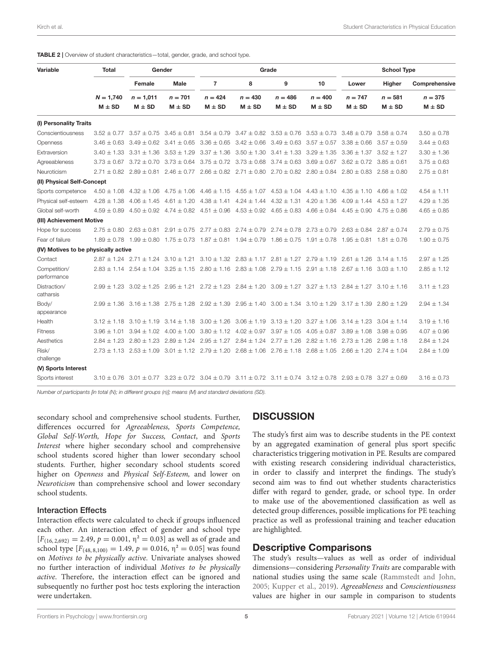<span id="page-4-0"></span>

| TABLE 2   Overview of student characteristics-total, gender, grade, and school type. |
|--------------------------------------------------------------------------------------|
|--------------------------------------------------------------------------------------|

| Variable                             | <b>Total</b>    | Gender                          |                                                                                                                                                 | Grade                                                                                           |                                                 |                                                 |                                                 | <b>School Type</b>              |                                 |                 |
|--------------------------------------|-----------------|---------------------------------|-------------------------------------------------------------------------------------------------------------------------------------------------|-------------------------------------------------------------------------------------------------|-------------------------------------------------|-------------------------------------------------|-------------------------------------------------|---------------------------------|---------------------------------|-----------------|
|                                      |                 | Female                          | Male                                                                                                                                            | $\overline{7}$                                                                                  | 8                                               | 9                                               | 10                                              | Lower                           | Higher                          | Comprehensive   |
|                                      | $N = 1,740$     | $n = 1,011$                     | $n = 701$                                                                                                                                       | $n = 424$                                                                                       | $n = 430$                                       | $n = 486$                                       | $n = 400$                                       | $n = 747$                       | $n = 581$                       | $n = 375$       |
|                                      | $M \pm SD$      | $M \pm SD$                      | $M \pm SD$                                                                                                                                      | $M \pm SD$                                                                                      | $M \pm SD$                                      | $M \pm SD$                                      | $M \pm SD$                                      | $M \pm SD$                      | $M \pm SD$                      | $M \pm SD$      |
| (I) Personality Traits               |                 |                                 |                                                                                                                                                 |                                                                                                 |                                                 |                                                 |                                                 |                                 |                                 |                 |
| Conscientiousness                    | $3.52 + 0.77$   | $3.57 \pm 0.75$                 | $3.45 \pm 0.81$                                                                                                                                 | $3.54 \pm 0.79$                                                                                 |                                                 |                                                 | $3.47 \pm 0.82$ $3.53 \pm 0.76$ $3.53 \pm 0.73$ | $3.48 \pm 0.79$                 | $3.58 \pm 0.74$                 | $3.50 \pm 0.78$ |
| Openness                             |                 | $3.46 \pm 0.63$ $3.49 \pm 0.62$ | $3.41 \pm 0.65$                                                                                                                                 | $3.36 \pm 0.65$                                                                                 | $3.42 \pm 0.66$ $3.49 \pm 0.63$ $3.57 \pm 0.57$ |                                                 |                                                 | $3.38 \pm 0.66$                 | $3.57 \pm 0.59$                 | $3.44 \pm 0.63$ |
| Extraversion                         |                 | $3.40 \pm 1.33$ $3.31 \pm 1.36$ | $3.53 \pm 1.29$                                                                                                                                 | $3.37 \pm 1.36$                                                                                 | $3.50 \pm 1.30$ $3.41 \pm 1.33$ $3.29 \pm 1.35$ |                                                 |                                                 | $3.36 \pm 1.37$ $3.52 \pm 1.27$ |                                 | $3.30 \pm 1.36$ |
| Agreeableness                        |                 | $3.73 \pm 0.67$ $3.72 \pm 0.70$ | $3.73 \pm 0.64$ $3.75 \pm 0.72$ $3.73 \pm 0.68$ $3.74 \pm 0.63$ $3.69 \pm 0.67$                                                                 |                                                                                                 |                                                 |                                                 |                                                 | $3.62 \pm 0.72$ $3.85 \pm 0.61$ |                                 | $3.75 \pm 0.63$ |
| Neuroticism                          |                 |                                 | $2.71 \pm 0.82$ $2.89 \pm 0.81$ $2.46 \pm 0.77$ $2.66 \pm 0.82$ $2.71 \pm 0.80$ $2.70 \pm 0.82$ $2.80 \pm 0.84$                                 |                                                                                                 |                                                 |                                                 |                                                 |                                 | $2.80 \pm 0.83$ $2.58 \pm 0.80$ | $2.75 \pm 0.81$ |
| (II) Physical Self-Concept           |                 |                                 |                                                                                                                                                 |                                                                                                 |                                                 |                                                 |                                                 |                                 |                                 |                 |
| Sports competence                    | $4.50 \pm 1.08$ | $4.32 \pm 1.06$                 | $4.75 \pm 1.06$ $4.46 \pm 1.15$ $4.55 \pm 1.07$ $4.53 \pm 1.04$ $4.43 \pm 1.10$ $4.35 \pm 1.10$ $4.66 \pm 1.02$                                 |                                                                                                 |                                                 |                                                 |                                                 |                                 |                                 | $4.54 + 1.11$   |
| Physical self-esteem                 |                 |                                 | $4.28 \pm 1.38$ $4.06 \pm 1.45$ $4.61 \pm 1.20$ $4.38 \pm 1.41$ $4.24 \pm 1.44$ $4.32 \pm 1.31$ $4.20 \pm 1.36$ $4.09 \pm 1.44$ $4.53 \pm 1.27$ |                                                                                                 |                                                 |                                                 |                                                 |                                 |                                 | $4.29 \pm 1.35$ |
| Global self-worth                    | $4.59 \pm 0.89$ |                                 | $4.50 \pm 0.92$ $4.74 \pm 0.82$ $4.51 \pm 0.96$ $4.53 \pm 0.92$ $4.65 \pm 0.83$ $4.66 \pm 0.84$ $4.45 \pm 0.90$ $4.75 \pm 0.86$                 |                                                                                                 |                                                 |                                                 |                                                 |                                 |                                 | $4.65 \pm 0.85$ |
| (III) Achievement Motive             |                 |                                 |                                                                                                                                                 |                                                                                                 |                                                 |                                                 |                                                 |                                 |                                 |                 |
| Hope for success                     |                 |                                 | $2.75 \pm 0.80$ $2.63 \pm 0.81$ $2.91 \pm 0.75$ $2.77 \pm 0.83$ $2.74 \pm 0.79$ $2.74 \pm 0.78$ $2.73 \pm 0.79$ $2.63 \pm 0.84$ $2.87 \pm 0.74$ |                                                                                                 |                                                 |                                                 |                                                 |                                 |                                 | $2.79 \pm 0.75$ |
| Fear of failure                      |                 |                                 | $1.89 \pm 0.78$ 1.99 $\pm$ 0.80 1.75 $\pm$ 0.73 1.87 $\pm$ 0.81 1.94 $\pm$ 0.79 1.86 $\pm$ 0.75 1.91 $\pm$ 0.78 1.95 $\pm$ 0.81 1.81 $\pm$ 0.76 |                                                                                                 |                                                 |                                                 |                                                 |                                 |                                 | $1.90 \pm 0.75$ |
| (IV) Motives to be physically active |                 |                                 |                                                                                                                                                 |                                                                                                 |                                                 |                                                 |                                                 |                                 |                                 |                 |
| Contact                              |                 |                                 | $2.87 \pm 1.24$ $2.71 \pm 1.24$ $3.10 \pm 1.21$ $3.10 \pm 1.32$ $2.83 \pm 1.17$ $2.81 \pm 1.27$ $2.79 \pm 1.19$ $2.61 \pm 1.26$ $3.14 \pm 1.15$ |                                                                                                 |                                                 |                                                 |                                                 |                                 |                                 | $2.97 \pm 1.25$ |
| Competition/<br>performance          |                 |                                 | $2.83 \pm 1.14$ $2.54 \pm 1.04$ $3.25 \pm 1.15$ $2.80 \pm 1.16$ $2.83 \pm 1.08$ $2.79 \pm 1.15$ $2.91 \pm 1.18$ $2.67 \pm 1.16$                 |                                                                                                 |                                                 |                                                 |                                                 |                                 | $3.03 \pm 1.10$                 | $2.85 \pm 1.12$ |
| Distraction/<br>catharsis            |                 |                                 | $2.99 \pm 1.23$ $3.02 \pm 1.25$ $2.95 \pm 1.21$ $2.72 \pm 1.23$ $2.84 \pm 1.20$ $3.09 \pm 1.27$ $3.27 \pm 1.13$ $2.84 \pm 1.27$ $3.10 \pm 1.16$ |                                                                                                 |                                                 |                                                 |                                                 |                                 |                                 | $3.11 \pm 1.23$ |
| Body/<br>appearance                  |                 |                                 | $2.99 \pm 1.36$ 3.16 $\pm$ 1.38 2.75 $\pm$ 1.28 2.92 $\pm$ 1.39 2.95 $\pm$ 1.40 3.00 $\pm$ 1.34 3.10 $\pm$ 1.29 3.17 $\pm$ 1.39 2.80 $\pm$ 1.29 |                                                                                                 |                                                 |                                                 |                                                 |                                 |                                 | $2.94 \pm 1.34$ |
| Health                               | $3.12 \pm 1.18$ | $3.10 \pm 1.19$                 | $3.14 \pm 1.18$                                                                                                                                 | $3.00 \pm 1.26$                                                                                 |                                                 | $3.06 \pm 1.19$ $3.13 \pm 1.20$ $3.27 \pm 1.06$ |                                                 | $3.14 \pm 1.23$ $3.04 \pm 1.14$ |                                 | $3.19 \pm 1.16$ |
| <b>Fitness</b>                       |                 | $3.96 \pm 1.01$ $3.94 \pm 1.02$ | $4.00 \pm 1.00$                                                                                                                                 | $3.80 \pm 1.12$ $4.02 \pm 0.97$ $3.97 \pm 1.05$ $4.05 \pm 0.87$ $3.89 \pm 1.08$ $3.98 \pm 0.95$ |                                                 |                                                 |                                                 |                                 |                                 | $4.07 \pm 0.96$ |
| Aesthetics                           |                 |                                 | $2.84 \pm 1.23$ $2.80 \pm 1.23$ $2.89 \pm 1.24$ $2.95 \pm 1.27$ $2.84 \pm 1.24$ $2.77 \pm 1.26$ $2.82 \pm 1.16$ $2.73 \pm 1.26$ $2.98 \pm 1.18$ |                                                                                                 |                                                 |                                                 |                                                 |                                 |                                 | $2.84 \pm 1.24$ |
| Risk/<br>challenge                   |                 |                                 | $2.73 \pm 1.13$ $2.53 \pm 1.09$ $3.01 \pm 1.12$ $2.79 \pm 1.20$ $2.68 \pm 1.06$ $2.76 \pm 1.18$ $2.68 \pm 1.05$ $2.66 \pm 1.20$ $2.74 \pm 1.04$ |                                                                                                 |                                                 |                                                 |                                                 |                                 |                                 | $2.84 \pm 1.09$ |
| (V) Sports Interest                  |                 |                                 |                                                                                                                                                 |                                                                                                 |                                                 |                                                 |                                                 |                                 |                                 |                 |
| Sports interest                      |                 |                                 | $3.10 \pm 0.76$ $3.01 \pm 0.77$ $3.23 \pm 0.72$ $3.04 \pm 0.79$ $3.11 \pm 0.72$ $3.11 \pm 0.74$ $3.12 \pm 0.78$ $2.93 \pm 0.78$ $3.27 \pm 0.69$ |                                                                                                 |                                                 |                                                 |                                                 |                                 |                                 | $3.16 \pm 0.73$ |

Number of participants [in total (N); in different groups (n)]; means (M) and standard deviations (SD).

secondary school and comprehensive school students. Further, differences occurred for Agreeableness, Sports Competence, Global Self-Worth, Hope for Success, Contact, and Sports Interest where higher secondary school and comprehensive school students scored higher than lower secondary school students. Further, higher secondary school students scored higher on Openness and Physical Self-Esteem, and lower on Neuroticism than comprehensive school and lower secondary school students.

#### Interaction Effects

Interaction effects were calculated to check if groups influenced each other. An interaction effect of gender and school type  $[F(16, 2, 692) = 2.49, p = 0.001, \eta^2 = 0.03]$  as well as of grade and school type  $[F_{(48, 8, 100)} = 1.49, p = 0.016, \eta^2 = 0.05]$  was found on Motives to be physically active. Univariate analyses showed no further interaction of individual Motives to be physically active. Therefore, the interaction effect can be ignored and subsequently no further post hoc tests exploring the interaction were undertaken.

## **DISCUSSION**

The study's first aim was to describe students in the PE context by an aggregated examination of general plus sport specific characteristics triggering motivation in PE. Results are compared with existing research considering individual characteristics, in order to classify and interpret the findings. The study's second aim was to find out whether students characteristics differ with regard to gender, grade, or school type. In order to make use of the abovementioned classification as well as detected group differences, possible implications for PE teaching practice as well as professional training and teacher education are highlighted.

## Descriptive Comparisons

The study's results—values as well as order of individual dimensions—considering Personality Traits are comparable with national studies using the same scale [\(Rammstedt and John,](#page-10-27) [2005;](#page-10-27) [Kupper et al., 2019\)](#page-10-22). Agreeableness and Conscientiousness values are higher in our sample in comparison to students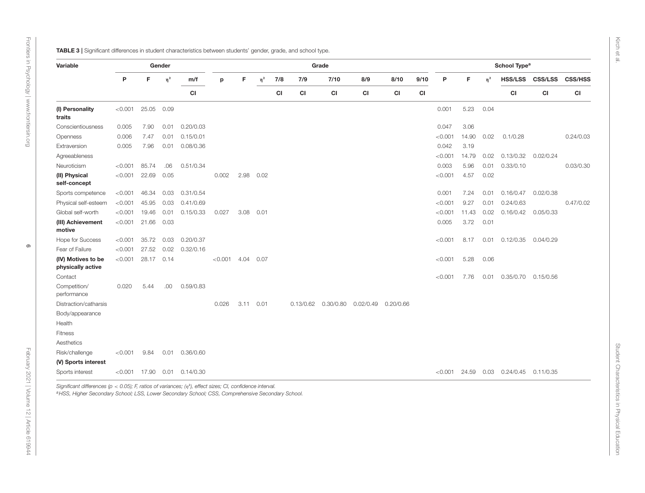Kirch et al.

**DAM STRIKE FUNCTION CONTINUOUS CONTINUOUS CONTINUOUS CONTINUOUS CONTINUOUS CONTINUOUS CONTINUOUS CONTINUOUS CONTINUOUS CONTINUOUS CONTINUOUS CONTINUOUS CONTINUOUS CONTINUOUS CONTINUOUS CONTINUOUS CONTINUOUS CONTINUOUS CO** 

<span id="page-5-0"></span>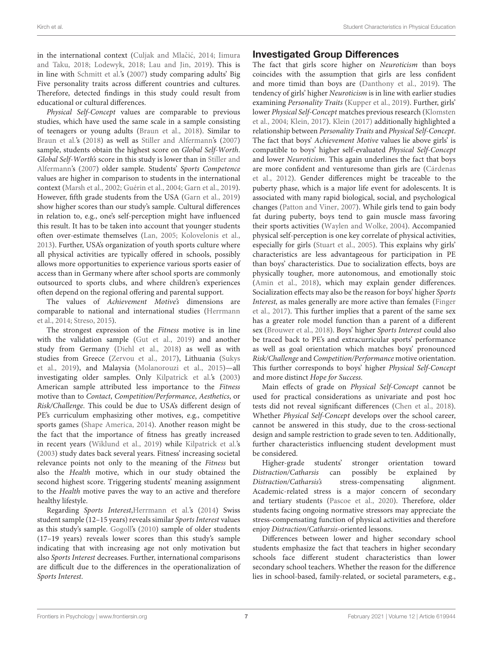in the international context (Culjak and Mlačić, [2014;](#page-9-16) Iimura and Taku, [2018;](#page-10-28) [Lodewyk, 2018;](#page-10-29) [Lau and Jin, 2019\)](#page-10-30). This is in line with [Schmitt et al.'](#page-10-31)s [\(2007\)](#page-10-31) study comparing adults' Big Five personality traits across different countries and cultures. Therefore, detected findings in this study could result from educational or cultural differences.

Physical Self-Concept values are comparable to previous studies, which have used the same scale in a sample consisting of teenagers or young adults [\(Braun et al., 2018\)](#page-9-6). Similar to [Braun et al.'s \(2018\)](#page-9-6) as well as [Stiller and Alfermann'](#page-11-6)s [\(2007\)](#page-11-6) sample, students obtain the highest score on Global Self-Worth. Global Self-Worth's score in this study is lower than in Stiller and Alfermann's [\(2007\)](#page-11-6) older sample. Students' Sports Competence values are higher in comparison to students in the international context [\(Marsh et al., 2002;](#page-10-32) [Guérin et al., 2004;](#page-9-17) [Garn et al., 2019\)](#page-9-18). However, fifth grade students from the USA [\(Garn et al., 2019\)](#page-9-18) show higher scores than our study's sample. Cultural differences in relation to, e.g., one's self-perception might have influenced this result. It has to be taken into account that younger students often over-estimate themselves [\(Lan, 2005;](#page-10-33) [Kolovelonis et al.,](#page-10-34) [2013\)](#page-10-34). Further, USA's organization of youth sports culture where all physical activities are typically offered in schools, possibly allows more opportunities to experience various sports easier of access than in Germany where after school sports are commonly outsourced to sports clubs, and where children's experiences often depend on the regional offering and parental support.

The values of Achievement Motive's dimensions are comparable to national and international studies (Herrmann et al., [2014;](#page-9-11) [Streso, 2015\)](#page-11-5).

The strongest expression of the Fitness motive is in line with the validation sample [\(Gut et al., 2019\)](#page-9-7) and another study from Germany [\(Diehl et al., 2018\)](#page-9-19) as well as with studies from Greece [\(Zervou et al., 2017\)](#page-11-7), Lithuania (Sukys et al., [2019\)](#page-11-8), and Malaysia [\(Molanorouzi et al., 2015\)](#page-10-35)—all investigating older samples. Only [Kilpatrick et al.'s \(2003\)](#page-10-36) American sample attributed less importance to the Fitness motive than to Contact, Competition/Performance, Aesthetics, or Risk/Challenge. This could be due to USA's different design of PE's curriculum emphasizing other motives, e.g., competitive sports games [\(Shape America, 2014\)](#page-10-37). Another reason might be the fact that the importance of fitness has greatly increased in recent years [\(Wiklund et al., 2019\)](#page-11-9) while [Kilpatrick et al.'](#page-10-36)s [\(2003\)](#page-10-36) study dates back several years. Fitness' increasing societal relevance points not only to the meaning of the Fitness but also the Health motive, which in our study obtained the second highest score. Triggering students' meaning assignment to the Health motive paves the way to an active and therefore healthy lifestyle.

Regarding Sports Interest[,Herrmann et al.'s \(2014\)](#page-9-11) Swiss student sample (12–15 years) reveals similar Sports Interest values as this study's sample. [Gogoll'](#page-9-10)s [\(2010\)](#page-9-10) sample of older students (17–19 years) reveals lower scores than this study's sample indicating that with increasing age not only motivation but also Sports Interest decreases. Further, international comparisons are difficult due to the differences in the operationalization of Sports Interest.

## Investigated Group Differences

The fact that girls score higher on Neuroticism than boys coincides with the assumption that girls are less confident and more timid than boys are [\(Danthony et al., 2019\)](#page-9-20). The tendency of girls' higher Neuroticism is in line with earlier studies examining Personality Traits [\(Kupper et al., 2019\)](#page-10-22). Further, girls' lower Physical Self-Concept matches previous research (Klomsten et al., [2004;](#page-10-38) [Klein, 2017\)](#page-10-39). [Klein \(2017\)](#page-10-39) additionally highlighted a relationship between Personality Traits and Physical Self-Concept. The fact that boys' Achievement Motive values lie above girls' is compatible to boys' higher self-evaluated Physical Self-Concept and lower Neuroticism. This again underlines the fact that boys are more confident and venturesome than girls are (Cárdenas et al., [2012\)](#page-9-21). Gender differences might be traceable to the puberty phase, which is a major life event for adolescents. It is associated with many rapid biological, social, and psychological changes [\(Patton and Viner, 2007\)](#page-10-40). While girls tend to gain body fat during puberty, boys tend to gain muscle mass favoring their sports activities [\(Waylen and Wolke, 2004\)](#page-11-10). Accompanied physical self-perception is one key correlate of physical activities, especially for girls [\(Stuart et al., 2005\)](#page-11-11). This explains why girls' characteristics are less advantageous for participation in PE than boys' characteristics. Due to socialization effects, boys are physically tougher, more autonomous, and emotionally stoic [\(Amin et al., 2018\)](#page-9-22), which may explain gender differences. Socialization effects may also be the reason for boys' higher Sports Interest, as males generally are more active than females (Finger et al., [2017\)](#page-9-23). This further implies that a parent of the same sex has a greater role model function than a parent of a different sex [\(Brouwer et al., 2018\)](#page-9-24). Boys' higher Sports Interest could also be traced back to PE's and extracurricular sports' performance as well as goal orientation which matches boys' pronounced Risk/Challenge and Competition/Performance motive orientation. This further corresponds to boys' higher Physical Self-Concept and more distinct Hope for Success.

Main effects of grade on Physical Self-Concept cannot be used for practical considerations as univariate and post hoc tests did not reveal significant differences [\(Chen et al., 2018\)](#page-9-25). Whether Physical Self-Concept develops over the school career, cannot be answered in this study, due to the cross-sectional design and sample restriction to grade seven to ten. Additionally, further characteristics influencing student development must be considered.

Higher-grade students' stronger orientation toward Distraction/Catharsis can possibly be explained by Distraction/Catharsis's stress-compensating alignment. Academic-related stress is a major concern of secondary and tertiary students [\(Pascoe et al., 2020\)](#page-10-41). Therefore, older students facing ongoing normative stressors may appreciate the stress-compensating function of physical activities and therefore enjoy Distraction/Catharsis-oriented lessons.

Differences between lower and higher secondary school students emphasize the fact that teachers in higher secondary schools face different student characteristics than lower secondary school teachers. Whether the reason for the difference lies in school-based, family-related, or societal parameters, e.g.,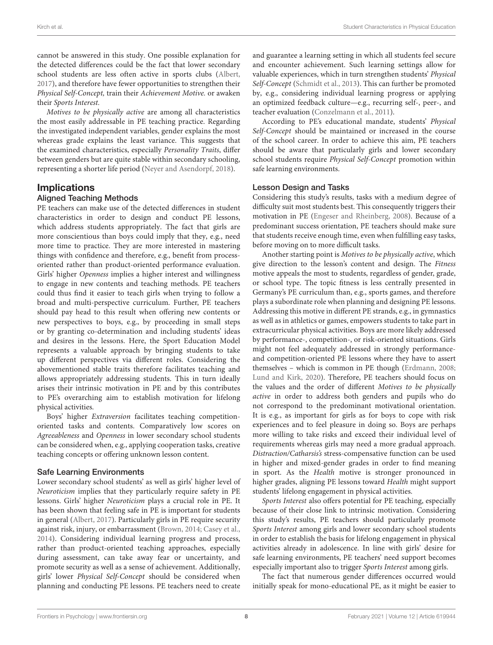cannot be answered in this study. One possible explanation for the detected differences could be the fact that lower secondary school students are less often active in sports clubs [\(Albert,](#page-9-26) [2017\)](#page-9-26), and therefore have fewer opportunities to strengthen their Physical Self-Concept, train their Achievement Motive. or awaken their Sports Interest.

Motives to be physically active are among all characteristics the most easily addressable in PE teaching practice. Regarding the investigated independent variables, gender explains the most whereas grade explains the least variance. This suggests that the examined characteristics, especially Personality Traits, differ between genders but are quite stable within secondary schooling, representing a shorter life period [\(Neyer and Asendorpf, 2018\)](#page-10-42).

## Implications

### Aligned Teaching Methods

PE teachers can make use of the detected differences in student characteristics in order to design and conduct PE lessons, which address students appropriately. The fact that girls are more conscientious than boys could imply that they, e.g., need more time to practice. They are more interested in mastering things with confidence and therefore, e.g., benefit from processoriented rather than product-oriented performance evaluation. Girls' higher Openness implies a higher interest and willingness to engage in new contents and teaching methods. PE teachers could thus find it easier to teach girls when trying to follow a broad and multi-perspective curriculum. Further, PE teachers should pay head to this result when offering new contents or new perspectives to boys, e.g., by proceeding in small steps or by granting co-determination and including students' ideas and desires in the lessons. Here, the Sport Education Model represents a valuable approach by bringing students to take up different perspectives via different roles. Considering the abovementioned stable traits therefore facilitates teaching and allows appropriately addressing students. This in turn ideally arises their intrinsic motivation in PE and by this contributes to PE's overarching aim to establish motivation for lifelong physical activities.

Boys' higher Extraversion facilitates teaching competitionoriented tasks and contents. Comparatively low scores on Agreeableness and Openness in lower secondary school students can be considered when, e.g., applying cooperation tasks, creative teaching concepts or offering unknown lesson content.

## Safe Learning Environments

Lower secondary school students' as well as girls' higher level of Neuroticism implies that they particularly require safety in PE lessons. Girls' higher Neuroticism plays a crucial role in PE. It has been shown that feeling safe in PE is important for students in general [\(Albert, 2017\)](#page-9-26). Particularly girls in PE require security against risk, injury, or embarrassment [\(Brown, 2014;](#page-9-27) [Casey et al.,](#page-9-28) [2014\)](#page-9-28). Considering individual learning progress and process, rather than product-oriented teaching approaches, especially during assessment, can take away fear or uncertainty, and promote security as well as a sense of achievement. Additionally, girls' lower Physical Self-Concept should be considered when planning and conducting PE lessons. PE teachers need to create and guarantee a learning setting in which all students feel secure and encounter achievement. Such learning settings allow for valuable experiences, which in turn strengthen students' Physical Self-Concept [\(Schmidt et al., 2013\)](#page-10-43). This can further be promoted by, e.g., considering individual learning progress or applying an optimized feedback culture—e.g., recurring self-, peer-, and teacher evaluation [\(Conzelmann et al., 2011\)](#page-9-29).

According to PE's educational mandate, students' Physical Self-Concept should be maintained or increased in the course of the school career. In order to achieve this aim, PE teachers should be aware that particularly girls and lower secondary school students require Physical Self-Concept promotion within safe learning environments.

## Lesson Design and Tasks

Considering this study's results, tasks with a medium degree of difficulty suit most students best. This consequently triggers their motivation in PE [\(Engeser and Rheinberg, 2008\)](#page-9-30). Because of a predominant success orientation, PE teachers should make sure that students receive enough time, even when fulfilling easy tasks, before moving on to more difficult tasks.

Another starting point is Motives to be physically active, which give direction to the lesson's content and design. The Fitness motive appeals the most to students, regardless of gender, grade, or school type. The topic fitness is less centrally presented in Germany's PE curriculum than, e.g., sports games, and therefore plays a subordinate role when planning and designing PE lessons. Addressing this motive in different PE strands, e.g., in gymnastics as well as in athletics or games, empowers students to take part in extracurricular physical activities. Boys are more likely addressed by performance-, competition-, or risk-oriented situations. Girls might not feel adequately addressed in strongly performanceand competition-oriented PE lessons where they have to assert themselves – which is common in PE though [\(Erdmann, 2008;](#page-9-31) [Lund and Kirk, 2020\)](#page-10-44). Therefore, PE teachers should focus on the values and the order of different Motives to be physically active in order to address both genders and pupils who do not correspond to the predominant motivational orientation. It is e.g., as important for girls as for boys to cope with risk experiences and to feel pleasure in doing so. Boys are perhaps more willing to take risks and exceed their individual level of requirements whereas girls may need a more gradual approach. Distraction/Catharsis's stress-compensative function can be used in higher and mixed-gender grades in order to find meaning in sport. As the Health motive is stronger pronounced in higher grades, aligning PE lessons toward Health might support students' lifelong engagement in physical activities.

Sports Interest also offers potential for PE teaching, especially because of their close link to intrinsic motivation. Considering this study's results, PE teachers should particularly promote Sports Interest among girls and lower secondary school students in order to establish the basis for lifelong engagement in physical activities already in adolescence. In line with girls' desire for safe learning environments, PE teachers' need support becomes especially important also to trigger Sports Interest among girls.

The fact that numerous gender differences occurred would initially speak for mono-educational PE, as it might be easier to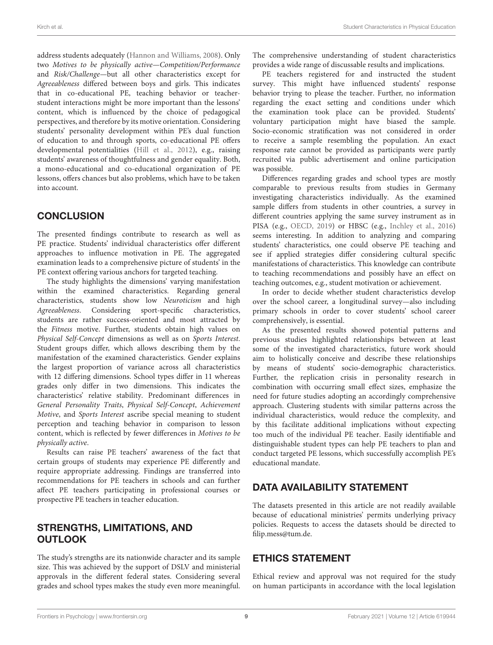address students adequately [\(Hannon and Williams, 2008\)](#page-9-32). Only two Motives to be physically active—Competition/Performance and Risk/Challenge—but all other characteristics except for Agreeableness differed between boys and girls. This indicates that in co-educational PE, teaching behavior or teacherstudent interactions might be more important than the lessons' content, which is influenced by the choice of pedagogical perspectives, and therefore by its motive orientation. Considering students' personality development within PE's dual function of education to and through sports, co-educational PE offers developmental potentialities [\(Hill et al., 2012\)](#page-9-33), e.g., raising students' awareness of thoughtfulness and gender equality. Both, a mono-educational and co-educational organization of PE lessons, offers chances but also problems, which have to be taken into account.

# **CONCLUSION**

The presented findings contribute to research as well as PE practice. Students' individual characteristics offer different approaches to influence motivation in PE. The aggregated examination leads to a comprehensive picture of students' in the PE context offering various anchors for targeted teaching.

The study highlights the dimensions' varying manifestation within the examined characteristics. Regarding general characteristics, students show low Neuroticism and high Agreeableness. Considering sport-specific characteristics, students are rather success-oriented and most attracted by the Fitness motive. Further, students obtain high values on Physical Self-Concept dimensions as well as on Sports Interest. Student groups differ, which allows describing them by the manifestation of the examined characteristics. Gender explains the largest proportion of variance across all characteristics with 12 differing dimensions. School types differ in 11 whereas grades only differ in two dimensions. This indicates the characteristics' relative stability. Predominant differences in General Personality Traits, Physical Self-Concept, Achievement Motive, and Sports Interest ascribe special meaning to student perception and teaching behavior in comparison to lesson content, which is reflected by fewer differences in Motives to be physically active.

Results can raise PE teachers' awareness of the fact that certain groups of students may experience PE differently and require appropriate addressing. Findings are transferred into recommendations for PE teachers in schools and can further affect PE teachers participating in professional courses or prospective PE teachers in teacher education.

# STRENGTHS, LIMITATIONS, AND **OUTLOOK**

The study's strengths are its nationwide character and its sample size. This was achieved by the support of DSLV and ministerial approvals in the different federal states. Considering several grades and school types makes the study even more meaningful. The comprehensive understanding of student characteristics provides a wide range of discussable results and implications.

PE teachers registered for and instructed the student survey. This might have influenced students' response behavior trying to please the teacher. Further, no information regarding the exact setting and conditions under which the examination took place can be provided. Students' voluntary participation might have biased the sample. Socio-economic stratification was not considered in order to receive a sample resembling the population. An exact response rate cannot be provided as participants were partly recruited via public advertisement and online participation was possible.

Differences regarding grades and school types are mostly comparable to previous results from studies in Germany investigating characteristics individually. As the examined sample differs from students in other countries, a survey in different countries applying the same survey instrument as in PISA (e.g., [OECD, 2019\)](#page-10-45) or HBSC (e.g., [Inchley et al., 2016\)](#page-10-46) seems interesting. In addition to analyzing and comparing students' characteristics, one could observe PE teaching and see if applied strategies differ considering cultural specific manifestations of characteristics. This knowledge can contribute to teaching recommendations and possibly have an effect on teaching outcomes, e.g., student motivation or achievement.

In order to decide whether student characteristics develop over the school career, a longitudinal survey—also including primary schools in order to cover students' school career comprehensively, is essential.

As the presented results showed potential patterns and previous studies highlighted relationships between at least some of the investigated characteristics, future work should aim to holistically conceive and describe these relationships by means of students' socio-demographic characteristics. Further, the replication crisis in personality research in combination with occurring small effect sizes, emphasize the need for future studies adopting an accordingly comprehensive approach. Clustering students with similar patterns across the individual characteristics, would reduce the complexity, and by this facilitate additional implications without expecting too much of the individual PE teacher. Easily identifiable and distinguishable student types can help PE teachers to plan and conduct targeted PE lessons, which successfully accomplish PE's educational mandate.

# DATA AVAILABILITY STATEMENT

The datasets presented in this article are not readily available because of educational ministries' permits underlying privacy policies. Requests to access the datasets should be directed to [filip.mess@tum.de.](mailto:filip.mess@tum.de)

# ETHICS STATEMENT

Ethical review and approval was not required for the study on human participants in accordance with the local legislation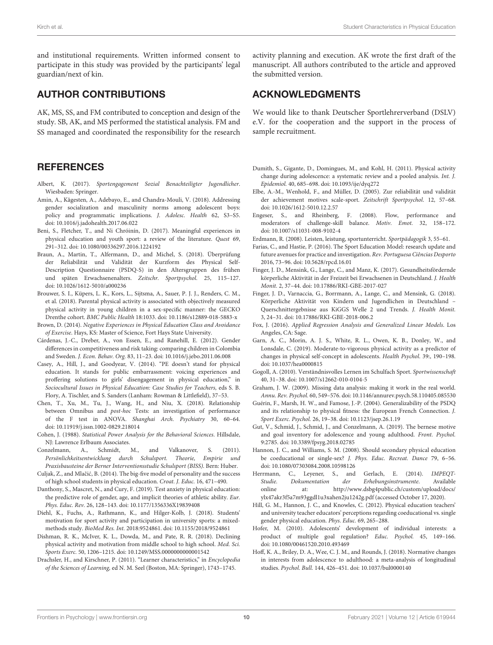and institutional requirements. Written informed consent to participate in this study was provided by the participants' legal guardian/next of kin.

# AUTHOR CONTRIBUTIONS

AK, MS, SS, and FM contributed to conception and design of the study. SB, AK, and MS performed the statistical analysis. FM and SS managed and coordinated the responsibility for the research

# **REFERENCES**

- <span id="page-9-26"></span>Albert, K. (2017). Sportengagement Sozial Benachteiligter Jugendlicher. Wiesbaden: Springer.
- <span id="page-9-22"></span>Amin, A., Kågesten, A., Adebayo, E., and Chandra-Mouli, V. (2018). Addressing gender socialization and masculinity norms among adolescent boys: policy and programmatic implications. J. Adolesc. Health 62, S3–S5. doi: [10.1016/j.jadohealth.2017.06.022](https://doi.org/10.1016/j.jadohealth.2017.06.022)
- <span id="page-9-5"></span>Beni, S., Fletcher, T., and Ni Chróinín, D. (2017). Meaningful experiences in physical education and youth sport: a review of the literature. Quest 69, 291–312. doi: [10.1080/00336297.2016.1224192](https://doi.org/10.1080/00336297.2016.1224192)
- <span id="page-9-6"></span>Braun, A., Martin, T., Alfermann, D., and Michel, S. (2018). Überprüfung der Reliabilität und Validität der Kurzform des Physical Self-Description Questionnaire (PSDQ-S) in den Altersgruppen des frühen und späten Erwachsenenalters. Zeitschr. Sportpsychol. 25, 115–127. doi: [10.1026/1612-5010/a000236](https://doi.org/10.1026/1612-5010/a000236)
- <span id="page-9-24"></span>Brouwer, S. I., Küpers, L. K., Kors, L., Sijtsma, A., Sauer, P. J. J., Renders, C. M., et al. (2018). Parental physical activity is associated with objectively measured physical activity in young children in a sex-specific manner: the GECKO Drenthe cohort. BMC Public Health 18:1033. doi: [10.1186/s12889-018-5883-x](https://doi.org/10.1186/s12889-018-5883-x)
- <span id="page-9-27"></span>Brown, D. (2014). Negative Experiences in Physical Education Class and Avoidance of Exercise. Hays, KS: Master of Science, Fort Hays State University.
- <span id="page-9-21"></span>Cárdenas, J.-C., Dreber, A., von Essen, E., and Ranehill, E. (2012). Gender differences in competitiveness and risk taking: comparing children in Colombia and Sweden. J. Econ. Behav. Org. 83, 11–23. doi: [10.1016/j.jebo.2011.06.008](https://doi.org/10.1016/j.jebo.2011.06.008)
- <span id="page-9-28"></span>Casey, A., Hill, J., and Goodyear, V. (2014). "PE doesn't stand for physical education. It stands for public embarrassment: voicing experiences and proffering solutions to girls' disengagement in physical education," in Sociocultural Issues in Physical Education: Case Studies for Teachers, eds S. B. Flory, A. Tischler, and S. Sanders (Lanham: Rowman & Littlefield), 37–53.
- <span id="page-9-25"></span>Chen, T., Xu, M., Tu, J., Wang, H., and Niu, X. (2018). Relationship between Omnibus and post-hoc Tests: an investigation of performance of the F test in ANOVA. Shanghai Arch. Psychiatry 30, 60–64. doi: [10.11919/j.issn.1002-0829.218014](https://doi.org/10.11919/j.issn.1002-0829.218014)
- <span id="page-9-15"></span>Cohen, J. (1988). Statistical Power Analysis for the Behavioral Sciences. Hillsdale, NJ: Lawrence Erlbaum Associates.
- <span id="page-9-29"></span>Conzelmann, A., Schmidt, M., and Valkanover, S. (2011). Persönlichkeitsentwicklung durch Schulsport. Theorie, Empirie und Praxisbausteine der Berner Interventionsstudie Schulsport (BISS). Bern: Huber.
- <span id="page-9-16"></span>Culjak, Z., and Mlačić, B. (2014). The big-five model of personality and the success of high school students in physical education. Croat. J. Educ. 16, 471–490.
- <span id="page-9-20"></span>Danthony, S., Mascret, N., and Cury, F. (2019). Test anxiety in physical education: the predictive role of gender, age, and implicit theories of athletic ability. Eur. Phys. Educ. Rev. 26, 128–143. doi: [10.1177/1356336X19839408](https://doi.org/10.1177/1356336X19839408)
- <span id="page-9-19"></span>Diehl, K., Fuchs, A., Rathmann, K., and Hilger-Kolb, J. (2018). Students' motivation for sport activity and participation in university sports: a mixedmethods study. BioMed Res. Int. 2018:9524861. doi: [10.1155/2018/9524861](https://doi.org/10.1155/2018/9524861)
- <span id="page-9-2"></span>Dishman, R. K., McIver, K. L., Dowda, M., and Pate, R. R. (2018). Declining physical activity and motivation from middle school to high school. Med. Sci. Sports Exerc. 50, 1206–1215. doi: [10.1249/MSS.0000000000001542](https://doi.org/10.1249/MSS.0000000000001542)
- <span id="page-9-4"></span>Drachsler, H., and Kirschner, P. (2011). "Learner characteristics," in Encyclopedia of the Sciences of Learning, ed N. M. Seel (Boston, MA: Springer), 1743–1745.

activity planning and execution. AK wrote the first draft of the manuscript. All authors contributed to the article and approved the submitted version.

# ACKNOWLEDGMENTS

We would like to thank Deutscher Sportlehrerverband (DSLV) e.V. for the cooperation and the support in the process of sample recruitment.

- <span id="page-9-1"></span>Dumith, S., Gigante, D., Domingues, M., and Kohl, H. (2011). Physical activity change during adolescence: a systematic review and a pooled analysis. Int. J. Epidemiol. 40, 685–698. doi: [10.1093/ije/dyq272](https://doi.org/10.1093/ije/dyq272)
- <span id="page-9-12"></span>Elbe, A.-M., Wenhold, F., and Müller, D. (2005). Zur reliabilität und validität der achievement motives scale-sport. Zeitschrift Sportpsychol. 12, 57–68. doi: [10.1026/1612-5010.12.2.57](https://doi.org/10.1026/1612-5010.12.2.57)
- <span id="page-9-30"></span>Engeser, S., and Rheinberg, F. (2008). Flow, performance and moderators of challenge-skill balance. Motiv. Emot. 32, 158–172. doi: [10.1007/s11031-008-9102-4](https://doi.org/10.1007/s11031-008-9102-4)
- <span id="page-9-31"></span>Erdmann, R. (2008). Leisten, leistung, sportunterricht. Sportpädagogik 3, 55–61.
- <span id="page-9-0"></span>Farias, C., and Hastie, P. (2016). The Sport Education Model: research update and future avenues for practice and investigation. Rev. Portuguesa Ciências Desporto 2016, 73–96. doi: [10.5628/rpcd.16.01](https://doi.org/10.5628/rpcd.16.01)
- <span id="page-9-23"></span>Finger, J. D., Mensink, G., Lange, C., and Manz, K. (2017). Gesundheitsfördernde körperliche Aktivität in der Freizeit bei Erwachsenen in Deutschland. J. Health Monit. 2, 37–44. doi: [10.17886/RKI-GBE-2017-027](https://doi.org/10.17886/RKI-GBE-2017-027)
- <span id="page-9-3"></span>Finger, J. D., Varnaccia, G., Borrmann, A., Lange, C., and Mensink, G. (2018). Körperliche Aktivität von Kindern und Jugendlichen in Deutschland – Querschnittergebnisse aus KiGGS Welle 2 und Trends. J. Health Monit. 3, 24–31. doi: [10.17886/RKI-GBE-2018-006.2](https://doi.org/10.17886/RKI-GBE-2018-006.2)
- <span id="page-9-14"></span>Fox, J. (2016). Applied Regression Analysis and Generalized Linear Models. Los Angeles, CA: Sage.
- <span id="page-9-18"></span>Garn, A. C., Morin, A. J. S., White, R. L., Owen, K. B., Donley, W., and Lonsdale, C. (2019). Moderate-to-vigorous physical activity as a predictor of changes in physical self-concept in adolescents. Health Psychol. 39:, 190–198. doi: [10.1037/hea0000815](https://doi.org/10.1037/hea0000815)
- <span id="page-9-10"></span>Gogoll, A. (2010). Verständnisvolles Lernen im Schulfach Sport. Sportwissenschaft 40, 31–38. doi: [10.1007/s12662-010-0104-5](https://doi.org/10.1007/s12662-010-0104-5)
- <span id="page-9-13"></span>Graham, J. W. (2009). Missing data analysis: making it work in the real world. Annu. Rev. Psychol. 60, 549–576. doi: [10.1146/annurev.psych.58.110405.085530](https://doi.org/10.1146/annurev.psych.58.110405.085530)
- <span id="page-9-17"></span>Guérin, F., Marsh, H. W., and Famose, J.-P. (2004). Generalizability of the PSDQ and its relationship to physical fitness: the European French Connection. J. Sport Exerc. Psychol. 26, 19–38. doi: [10.1123/jsep.26.1.19](https://doi.org/10.1123/jsep.26.1.19)
- <span id="page-9-7"></span>Gut, V., Schmid, J., Schmid, J., and Conzelmann, A. (2019). The bernese motive and goal inventory for adolescence and young adulthood. Front. Psychol. 9:2785. doi: [10.3389/fpsyg.2018.02785](https://doi.org/10.3389/fpsyg.2018.02785)
- <span id="page-9-32"></span>Hannon, J. C., and Williams, S. M. (2008). Should secondary physical education be coeducational or single-sex? J. Phys. Educ. Recreat. Dance 79, 6–56. doi: [10.1080/07303084.2008.10598126](https://doi.org/10.1080/07303084.2008.10598126)
- <span id="page-9-11"></span>Herrmann, C., Leyener, S., and Gerlach, E. (2014). IMPEQT-Studie. Dokumentation der Erhebungsinstrumente. Available online at: [http://www.dsbg4public.ch/custom/upload/docs/](http://www.dsbg4public.ch/custom/upload/docs/ylx47akr3f5a7m93ggdl1u3xahen2ju1242g.pdf) [ylx47akr3f5a7m93ggdl1u3xahen2ju1242g.pdf](http://www.dsbg4public.ch/custom/upload/docs/ylx47akr3f5a7m93ggdl1u3xahen2ju1242g.pdf) (accessed October 17, 2020).
- <span id="page-9-33"></span>Hill, G. M., Hannon, J. C., and Knowles, C. (2012). Physical education teachers' and university teacher educators' perceptions regarding coeducational vs. single gender physical education. Phys. Educ. 69, 265–288.
- <span id="page-9-8"></span>Hofer, M. (2010). Adolescents' development of individual interests: a product of multiple goal regulation? Educ. Psychol. 45, 149–166. doi: [10.1080/00461520.2010.493469](https://doi.org/10.1080/00461520.2010.493469)
- <span id="page-9-9"></span>Hoff, K. A., Briley, D. A., Wee, C. J. M., and Rounds, J. (2018). Normative changes in interests from adolescence to adulthood: a meta-analysis of longitudinal studies. Psychol. Bull. 144, 426–451. doi: [10.1037/bul0000140](https://doi.org/10.1037/bul0000140)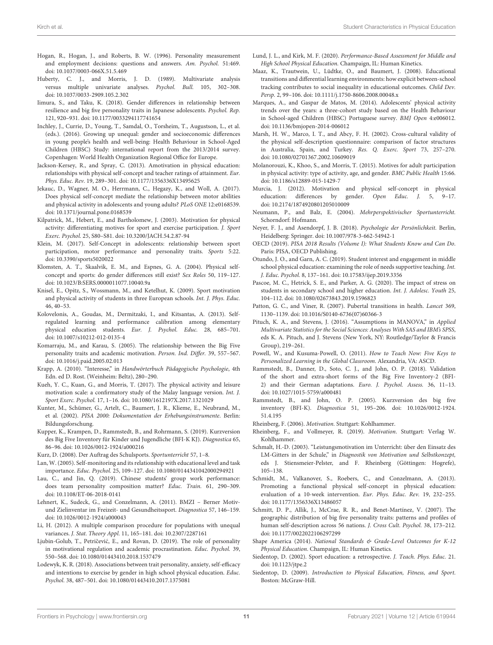- <span id="page-10-7"></span>Hogan, R., Hogan, J., and Roberts, B. W. (1996). Personality measurement and employment decisions: questions and answers. Am. Psychol. 51:469. doi: [10.1037/0003-066X.51.5.469](https://doi.org/10.1037/0003-066X.51.5.469)
- <span id="page-10-25"></span>Huberty, C. J., and Morris, J. D. (1989). Multivariate analysis versus multiple univariate analyses. Psychol. Bull. 105, 302–308. doi: [10.1037/0033-2909.105.2.302](https://doi.org/10.1037/0033-2909.105.2.302)
- <span id="page-10-28"></span>Iimura, S., and Taku, K. (2018). Gender differences in relationship between resilience and big five personality traits in Japanese adolescents. Psychol. Rep. 121, 920–931. doi: [10.1177/0033294117741654](https://doi.org/10.1177/0033294117741654)
- <span id="page-10-46"></span>Inchley, J., Currie, D., Young, T., Samdal, O., Torsheim, T., Augustson, L., et al. (eds.). (2016). Growing up unequal: gender and socioeconomic differences in young people's health and well-being: Health Behaviour in School-Aged Children (HBSC) Study: international report from the 2013/2014 survey. Copenhagen: World Health Organization Regional Office for Europe.
- <span id="page-10-11"></span>Jackson-Kersey, R., and Spray, C. (2013). Amotivation in physical education: relationships with physical self-concept and teacher ratings of attainment. Eur. Phys. Educ. Rev. 19, 289–301. doi: [10.1177/1356336X13495625](https://doi.org/10.1177/1356336X13495625)
- <span id="page-10-12"></span>Jekauc, D., Wagner, M. O., Herrmann, C., Hegazy, K., and Woll, A. (2017). Does physical self-concept mediate the relationship between motor abilities and physical activity in adolescents and young adults? PLoS ONE 12:e0168539. doi: [10.1371/journal.pone.0168539](https://doi.org/10.1371/journal.pone.0168539)
- <span id="page-10-36"></span>Kilpatrick, M., Hebert, E., and Bartholomew, J. (2003). Motivation for physical activity: differentiating motives for sport and exercise participation. J. Sport Exerc. Psychol. 25, S80–S81. doi: [10.3200/JACH.54.2.87-94](https://doi.org/10.3200/JACH.54.2.87-94)
- <span id="page-10-39"></span>Klein, M. (2017). Self-Concept in adolescents: relationship between sport participation, motor performance and personality traits. Sports 5:22. doi: [10.3390/sports5020022](https://doi.org/10.3390/sports5020022)
- <span id="page-10-38"></span>Klomsten, A. T., Skaalvik, E. M., and Espnes, G. A. (2004). Physical selfconcept and sports: do gender differences still exist? Sex Roles 50, 119–127. doi: [10.1023/B:SERS.0000011077.10040.9a](https://doi.org/10.1023/B:SERS.0000011077.10040.9a)
- <span id="page-10-4"></span>Knisel, E., Opitz, S., Wossmann, M., and Ketelhut, K. (2009). Sport motivation and physical activity of students in three European schools. Int. J. Phys. Educ. 46, 40–53.
- <span id="page-10-34"></span>Kolovelonis, A., Goudas, M., Dermitzaki, I., and Kitsantas, A. (2013). Selfregulated learning and performance calibration among elementary physical education students. Eur. J. Psychol. Educ. 28, 685–701. doi: [10.1007/s10212-012-0135-4](https://doi.org/10.1007/s10212-012-0135-4)
- <span id="page-10-9"></span>Komarraju, M., and Karau, S. (2005). The relationship between the Big Five personality traits and academic motivation. Person. Ind. Differ. 39, 557–567. doi: [10.1016/j.paid.2005.02.013](https://doi.org/10.1016/j.paid.2005.02.013)
- <span id="page-10-19"></span>Krapp, A. (2010). "Interesse," in Handwörterbuch Pädagogische Psychologie, 4th Edn. ed D. Rost. (Weinheim: Beltz), 280–290.
- <span id="page-10-17"></span>Kueh, Y. C., Kuan, G., and Morris, T. (2017). The physical activity and leisure motivation scale: a confirmatory study of the Malay language version. Int. J. Sport Exerc. Psychol. 17, 1–16. doi: [10.1080/1612197X.2017.1321029](https://doi.org/10.1080/1612197X.2017.1321029)
- <span id="page-10-23"></span>Kunter, M., Schümer, G., Artelt, C., Baumert, J. R., Klieme, E., Neubrand, M., et al. (2002). PISA 2000: Dokumentation der Erhebungsinstrumente. Berlin: Bildungsforschung.
- <span id="page-10-22"></span>Kupper, K., Krampen, D., Rammstedt, B., and Rohrmann, S. (2019). Kurzversion des Big Five Inventory für Kinder und Jugendliche (BFI-K KJ). Diagnostica 65, 86–96. doi: [10.1026/0012-1924/a000216](https://doi.org/10.1026/0012-1924/a000216)
- <span id="page-10-2"></span>Kurz, D. (2008). Der Auftrag des Schulsports. Sportunterricht 57, 1–8.
- <span id="page-10-33"></span>Lan, W. (2005). Self-monitoring and its relationship with educational level and task importance. Educ. Psychol. 25, 109–127. doi: [10.1080/0144341042000294921](https://doi.org/10.1080/0144341042000294921)
- <span id="page-10-30"></span>Lau, C., and Jin, Q. (2019). Chinese students' group work performance: does team personality composition matter? Educ. Train. 61, 290–309. doi: [10.1108/ET-06-2018-0141](https://doi.org/10.1108/ET-06-2018-0141)
- <span id="page-10-16"></span>Lehnert, K., Sudeck, G., and Conzelmann, A. (2011). BMZI – Berner Motivund Zielinventar im Freizeit- und Gesundheitssport. Diagnostica 57, 146–159. doi: [10.1026/0012-1924/a000043](https://doi.org/10.1026/0012-1924/a000043)
- <span id="page-10-26"></span>Li, H. (2012). A multiple comparison procedure for populations with unequal variances. J. Stat. Theory Appl. 11, 165–181. doi: [10.2307/2287161](https://doi.org/10.2307/2287161)
- <span id="page-10-10"></span>Ljubin-Golub, T., Petričević, E., and Rovan, D. (2019). The role of personality in motivational regulation and academic procrastination. Educ. Psychol. 39, 550–568. doi: [10.1080/01443410.2018.1537479](https://doi.org/10.1080/01443410.2018.1537479)
- <span id="page-10-29"></span>Lodewyk, K. R. (2018). Associations between trait personality, anxiety, self-efficacy and intentions to exercise by gender in high school physical education. Educ. Psychol. 38, 487–501. doi: [10.1080/01443410.2017.1375081](https://doi.org/10.1080/01443410.2017.1375081)
- <span id="page-10-44"></span>Lund, J. L., and Kirk, M. F. (2020). Performance-Based Assessment for Middle and High School Physical Education. Champaign, IL: Human Kinetics.
- <span id="page-10-21"></span>Maaz, K., Trautwein, U., Lüdtke, O., and Baumert, J. (2008). Educational transitions and differential learning environments: how explicit between-school tracking contributes to social inequality in educational outcomes. Child Dev. Persp. 2, 99–106. doi: [10.1111/j.1750-8606.2008.00048.x](https://doi.org/10.1111/j.1750-8606.2008.00048.x)
- <span id="page-10-5"></span>Marques, A., and Gaspar de Matos, M. (2014). Adolescents' physical activity trends over the years: a three-cohort study based on the Health Behaviour in School-aged Children (HBSC) Portuguese survey. BMJ Open 4:e006012. doi: [10.1136/bmjopen-2014-006012](https://doi.org/10.1136/bmjopen-2014-006012)
- <span id="page-10-32"></span>Marsh, H. W., Marco, I. T., and Abcy, F. H. (2002). Cross-cultural validity of the physical self-description questionnaire: comparison of factor structures in Australia, Spain, and Turkey. Res. Q. Exerc. Sport 73, 257–270. doi: [10.1080/02701367.2002.10609019](https://doi.org/10.1080/02701367.2002.10609019)
- <span id="page-10-35"></span>Molanorouzi, K., Khoo, S., and Morris, T. (2015). Motives for adult participation in physical activity: type of activity, age, and gender. BMC Public Health 15:66. doi: [10.1186/s12889-015-1429-7](https://doi.org/10.1186/s12889-015-1429-7)
- <span id="page-10-13"></span>Murcia, J. (2012). Motivation and physical self-concept in physical education: differences by gender. Open Educ. J. 5, 9–17. doi: [10.2174/1874920801205010009](https://doi.org/10.2174/1874920801205010009)
- <span id="page-10-18"></span>Neumann, P., and Balz, E. (2004). Mehrperspektivischer Sportunterricht. Schorndorf: Hofmann.
- <span id="page-10-42"></span>Neyer, F. J., and Asendorpf, J. B. (2018). Psychologie der Persönlichkeit. Berlin, Heidelberg: Springer. doi: [10.1007/978-3-662-54942-1](https://doi.org/10.1007/978-3-662-54942-1)
- <span id="page-10-45"></span>OECD (2019). PISA 2018 Results (Volume I): What Students Know and Can Do. Paris: PISA, OECD Publishing.
- <span id="page-10-20"></span>Otundo, J. O., and Garn, A. C. (2019). Student interest and engagement in middle school physical education: examining the role of needs supportive teaching. Int. J. Educ. Psychol. 8, 137–161. doi: [10.17583/ijep.2019.3356](https://doi.org/10.17583/ijep.2019.3356)
- <span id="page-10-41"></span>Pascoe, M. C., Hetrick, S. E., and Parker, A. G. (2020). The impact of stress on students in secondary school and higher education. Int. J. Adolesc. Youth 25, 104–112. doi: [10.1080/02673843.2019.1596823](https://doi.org/10.1080/02673843.2019.1596823)
- <span id="page-10-40"></span>Patton, G. C., and Viner, R. (2007). Pubertal transitions in health. Lancet 369, 1130–1139. doi: [10.1016/S0140-6736\(07\)60366-3](https://doi.org/10.1016/S0140-6736(07)60366-3)
- <span id="page-10-24"></span>Pituch, K. A., and Stevens, J. (2016). "Assumptions in MANOVA," in Applied Multivariate Statistics for the Social Sciences: Analyses With SAS and IBM's SPSS, eds K. A. Pituch, and J. Stevens (New York, NY: Routledge/Taylor & Francis Group), 219–261.
- <span id="page-10-6"></span>Powell, W., and Kusuma-Powell, O. (2011). How to Teach Now: Five Keys to Personalized Learning in the Global Classroom. Alexandria, VA: ASCD.
- <span id="page-10-8"></span>Rammstedt, B., Danner, D., Soto, C. J., and John, O. P. (2018). Validation of the short and extra-short forms of the Big Five Inventory-2 (BFI-2) and their German adaptations. Euro. J. Psychol. Assess. 36, 11–13. doi: [10.1027/1015-5759/a000481](https://doi.org/10.1027/1015-5759/a000481)
- <span id="page-10-27"></span>Rammstedt, B., and John, O. P. (2005). Kurzversion des big five inventory (BFI-K). Diagnostica [51, 195–206. doi: 10.1026/0012-1924.](https://doi.org/10.1026/0012-1924.51.4.195) 51.4.195
- <span id="page-10-14"></span>Rheinberg, F. (2006). Motivation. Stuttgart: Kohlhammer.
- <span id="page-10-3"></span>Rheinberg, F., and Vollmeyer, R. (2019). Motivation. Stuttgart: Verlag W. Kohlhammer.
- <span id="page-10-15"></span>Schmalt, H.-D. (2003). "Leistungsmotivation im Unterricht: über den Einsatz des LM-Gitters in der Schule," in Diagnostik von Motivation und Selbstkonzept, eds J. Stiensmeier-Pelster, and F. Rheinberg (Göttingen: Hogrefe), 105–138.
- <span id="page-10-43"></span>Schmidt, M., Valkanover, S., Roebers, C., and Conzelmann, A. (2013). Promoting a functional physical self-concept in physical education: evaluation of a 10-week intervention. Eur. Phys. Educ. Rev. 19, 232–255. doi: [10.1177/1356336X13486057](https://doi.org/10.1177/1356336X13486057)
- <span id="page-10-31"></span>Schmitt, D. P., Allik, J., McCrae, R. R., and Benet-Martínez, V. (2007). The geographic distribution of big five personality traits: patterns and profiles of human self-description across 56 nations. J. Cross Cult. Psychol. 38, 173–212. doi: [10.1177/0022022106297299](https://doi.org/10.1177/0022022106297299)
- <span id="page-10-37"></span>Shape America (2014). National Standards & Grade-Level Outcomes for K-12 Physical Education. Champaign, IL: Human Kinetics.
- <span id="page-10-0"></span>Siedentop, D. (2002). Sport education: a retrospective. J. Teach. Phys. Educ. 21. doi: [10.1123/jtpe.2](https://doi.org/10.1123/jtpe.2)
- <span id="page-10-1"></span>Siedentop, D. (2009). Introduction to Physical Education, Fitness, and Sport. Boston: McGraw-Hill.